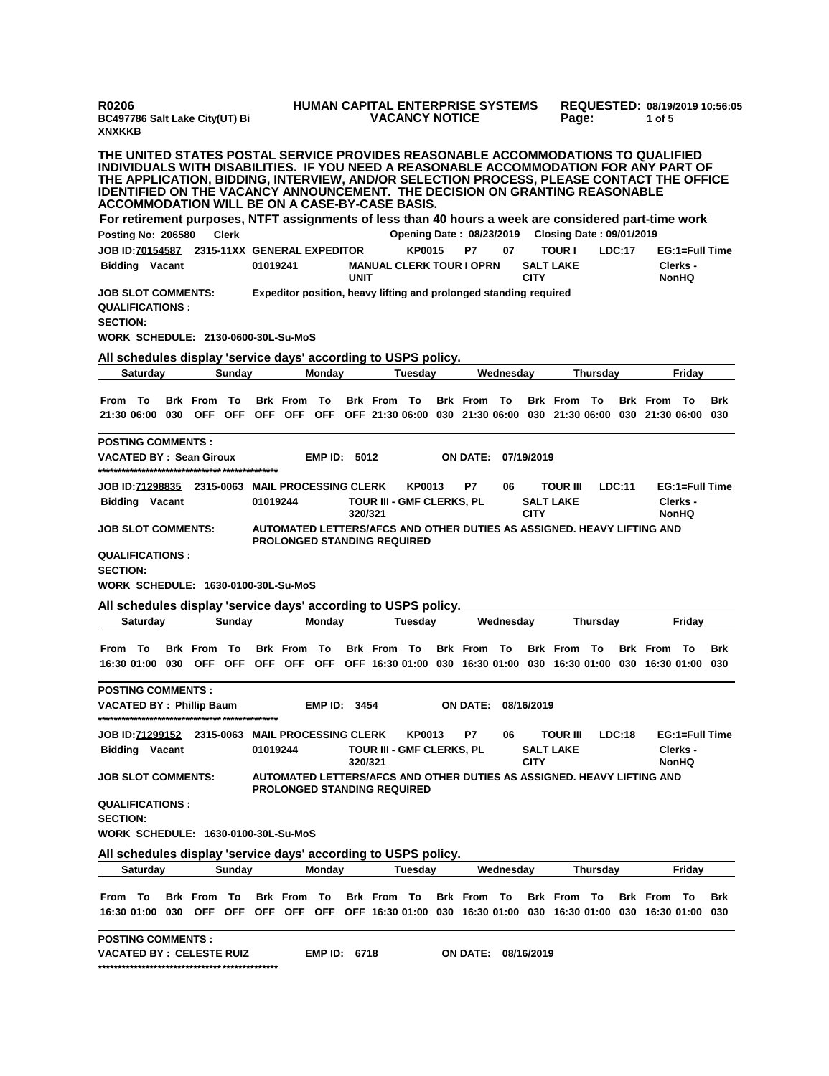| BC497786 Salt Lake City(UT) Bi<br><b>XNXKKB</b>                                                                                                                                                                                                                                                                                                                                                               |                    |              |          |                    |                     |             | <b>HUMAN CAPITAL ENTERPRISE SYSTEMS</b><br><b>VACANCY NOTICE</b>  |               |                     |           |             | Page:                               |                                                   |        | REQUESTED: 08/19/2019 10:56:05<br>1 of 5                                                                  |                |            |
|---------------------------------------------------------------------------------------------------------------------------------------------------------------------------------------------------------------------------------------------------------------------------------------------------------------------------------------------------------------------------------------------------------------|--------------------|--------------|----------|--------------------|---------------------|-------------|-------------------------------------------------------------------|---------------|---------------------|-----------|-------------|-------------------------------------|---------------------------------------------------|--------|-----------------------------------------------------------------------------------------------------------|----------------|------------|
| THE UNITED STATES POSTAL SERVICE PROVIDES REASONABLE ACCOMMODATIONS TO QUALIFIED<br>INDIVIDUALS WITH DISABILITIES. IF YOU NEED A REASONABLE ACCOMMODATION FOR ANY PART OF<br>THE APPLICATION, BIDDING, INTERVIEW, AND/OR SELECTION PROCESS, PLEASE CONTACT THE OFFICE<br><b>IDENTIFIED ON THE VACANCY ANNOUNCEMENT. THE DECISION ON GRANTING REASONABLE</b><br>ACCOMMODATION WILL BE ON A CASE-BY-CASE BASIS. |                    |              |          |                    |                     |             |                                                                   |               |                     |           |             |                                     |                                                   |        |                                                                                                           |                |            |
| For retirement purposes, NTFT assignments of less than 40 hours a week are considered part-time work                                                                                                                                                                                                                                                                                                          |                    |              |          |                    |                     |             |                                                                   |               |                     |           |             |                                     |                                                   |        |                                                                                                           |                |            |
| Posting No: 206580<br>JOB ID: 70154587 2315-11XX GENERAL EXPEDITOR                                                                                                                                                                                                                                                                                                                                            |                    | <b>Clerk</b> |          |                    |                     |             |                                                                   | <b>KP0015</b> | P7                  | 07        |             | <b>TOUR I</b>                       | Opening Date: 08/23/2019 Closing Date: 09/01/2019 | LDC:17 |                                                                                                           | EG:1=Full Time |            |
| <b>Bidding Vacant</b>                                                                                                                                                                                                                                                                                                                                                                                         |                    |              | 01019241 |                    |                     | <b>UNIT</b> | <b>MANUAL CLERK TOUR I OPRN</b>                                   |               |                     |           | <b>CITY</b> | <b>SALT LAKE</b>                    |                                                   |        | Clerks -<br><b>NonHQ</b>                                                                                  |                |            |
| <b>JOB SLOT COMMENTS:</b><br><b>QUALIFICATIONS:</b><br><b>SECTION:</b><br><b>WORK SCHEDULE: 2130-0600-30L-Su-MoS</b>                                                                                                                                                                                                                                                                                          |                    |              |          |                    |                     |             | Expeditor position, heavy lifting and prolonged standing required |               |                     |           |             |                                     |                                                   |        |                                                                                                           |                |            |
| All schedules display 'service days' according to USPS policy.                                                                                                                                                                                                                                                                                                                                                |                    |              |          |                    |                     |             |                                                                   |               |                     |           |             |                                     |                                                   |        |                                                                                                           |                |            |
| Saturday                                                                                                                                                                                                                                                                                                                                                                                                      |                    | Sunday       |          |                    | <b>Mondav</b>       |             |                                                                   | Tuesday       |                     | Wednesday |             |                                     | Thursday                                          |        |                                                                                                           | Friday         |            |
| From To<br>21:30 06:00 030 OFF OFF OFF OFF OFF OFF 21:30 06:00 030 21:30 06:00 030 21:30 06:00 030 21:30 06:00                                                                                                                                                                                                                                                                                                | <b>Brk From To</b> |              |          | <b>Brk From To</b> |                     |             | <b>Brk From To</b>                                                |               | <b>Brk From To</b>  |           |             | <b>Brk From To</b>                  |                                                   |        | <b>Brk</b> From                                                                                           | То             | Brk<br>030 |
| <b>POSTING COMMENTS:</b><br><b>VACATED BY: Sean Giroux</b>                                                                                                                                                                                                                                                                                                                                                    |                    |              |          |                    | EMP ID: 5012        |             |                                                                   |               | <b>ON DATE:</b>     |           | 07/19/2019  |                                     |                                                   |        |                                                                                                           |                |            |
| JOB ID: 71298835 2315-0063 MAIL PROCESSING CLERK<br><b>Bidding Vacant</b>                                                                                                                                                                                                                                                                                                                                     |                    |              | 01019244 |                    |                     | 320/321     | TOUR III - GMF CLERKS, PL                                         | KP0013        | P7                  | 06        | <b>CITY</b> | <b>TOUR III</b><br><b>SALT LAKE</b> |                                                   | LDC:11 | Clerks -<br>NonHQ                                                                                         | EG:1=Full Time |            |
| <b>JOB SLOT COMMENTS:</b>                                                                                                                                                                                                                                                                                                                                                                                     |                    |              |          |                    |                     |             |                                                                   |               |                     |           |             |                                     |                                                   |        | AUTOMATED LETTERS/AFCS AND OTHER DUTIES AS ASSIGNED. HEAVY LIFTING AND                                    |                |            |
| <b>QUALIFICATIONS:</b><br><b>SECTION:</b>                                                                                                                                                                                                                                                                                                                                                                     |                    |              |          |                    |                     |             | <b>PROLONGED STANDING REQUIRED</b>                                |               |                     |           |             |                                     |                                                   |        |                                                                                                           |                |            |
|                                                                                                                                                                                                                                                                                                                                                                                                               |                    |              |          |                    |                     |             |                                                                   |               |                     |           |             |                                     |                                                   |        |                                                                                                           |                |            |
| <b>WORK SCHEDULE: 1630-0100-30L-Su-MoS</b>                                                                                                                                                                                                                                                                                                                                                                    |                    |              |          |                    |                     |             |                                                                   |               |                     |           |             |                                     |                                                   |        |                                                                                                           |                |            |
| All schedules display 'service days' according to USPS policy.<br><b>Saturday</b>                                                                                                                                                                                                                                                                                                                             |                    | Sunday       |          |                    | Monday              |             |                                                                   | Tuesday       |                     | Wednesday |             |                                     | Thursday                                          |        |                                                                                                           | Friday         |            |
|                                                                                                                                                                                                                                                                                                                                                                                                               |                    |              |          |                    |                     |             |                                                                   |               |                     |           |             |                                     |                                                   |        |                                                                                                           |                |            |
| From To<br>16:30 01:00 030                                                                                                                                                                                                                                                                                                                                                                                    | <b>Brk From To</b> |              |          | <b>Brk From To</b> |                     |             | <b>Brk From To</b>                                                |               | <b>Brk From To</b>  |           |             | <b>Brk From To</b>                  |                                                   |        | <b>Brk From To</b><br>OFF OFF OFF OFF OFF OFF 16:30 01:00 030 16:30 01:00 030 16:30 01:00 030 16:30 01:00 |                | Brk<br>030 |
| <b>POSTING COMMENTS:</b><br><b>VACATED BY: Phillip Baum</b>                                                                                                                                                                                                                                                                                                                                                   |                    |              |          |                    | EMP ID:             | 3454        |                                                                   |               | ON DATE:            |           | 08/16/2019  |                                     |                                                   |        |                                                                                                           |                |            |
| <b>JOB ID:71299152 2315-0063 MAIL PROCESSING CLERK</b><br><b>Bidding Vacant</b>                                                                                                                                                                                                                                                                                                                               |                    |              | 01019244 |                    |                     | 320/321     | <b>TOUR III - GMF CLERKS, PL</b>                                  | <b>KP0013</b> | P7                  | 06        | <b>CITY</b> | <b>TOUR III</b><br><b>SALT LAKE</b> |                                                   | LDC:18 | Clerks -<br>NonHQ                                                                                         | EG:1=Full Time |            |
| <b>JOB SLOT COMMENTS:</b>                                                                                                                                                                                                                                                                                                                                                                                     |                    |              |          |                    |                     |             |                                                                   |               |                     |           |             |                                     |                                                   |        | AUTOMATED LETTERS/AFCS AND OTHER DUTIES AS ASSIGNED. HEAVY LIFTING AND                                    |                |            |
| <b>QUALIFICATIONS:</b>                                                                                                                                                                                                                                                                                                                                                                                        |                    |              |          |                    |                     |             | <b>PROLONGED STANDING REQUIRED</b>                                |               |                     |           |             |                                     |                                                   |        |                                                                                                           |                |            |
| <b>SECTION:</b><br>WORK SCHEDULE: 1630-0100-30L-Su-MoS                                                                                                                                                                                                                                                                                                                                                        |                    |              |          |                    |                     |             |                                                                   |               |                     |           |             |                                     |                                                   |        |                                                                                                           |                |            |
|                                                                                                                                                                                                                                                                                                                                                                                                               |                    |              |          |                    |                     |             |                                                                   |               |                     |           |             |                                     |                                                   |        |                                                                                                           |                |            |
| All schedules display 'service days' according to USPS policy.<br>Saturday                                                                                                                                                                                                                                                                                                                                    |                    | Sunday       |          |                    | Monday              |             |                                                                   | Tuesdav       |                     | Wednesdav |             |                                     | Thursday                                          |        |                                                                                                           | Friday         |            |
|                                                                                                                                                                                                                                                                                                                                                                                                               |                    |              |          |                    |                     |             |                                                                   |               |                     |           |             |                                     |                                                   |        |                                                                                                           |                |            |
| From To<br>16:30 01:00 030 OFF OFF OFF OFF OFF OFF 16:30 01:00 030 16:30 01:00 030 16:30 01:00 030 16:30 01:00 030                                                                                                                                                                                                                                                                                            | <b>Brk From To</b> |              |          |                    |                     |             | Brk From To Brk From To Brk From To Brk From To                   |               |                     |           |             |                                     |                                                   |        | <b>Brk From To</b>                                                                                        |                | Brk        |
|                                                                                                                                                                                                                                                                                                                                                                                                               |                    |              |          |                    |                     |             |                                                                   |               |                     |           |             |                                     |                                                   |        |                                                                                                           |                |            |
| <b>POSTING COMMENTS:</b><br><b>VACATED BY : CELESTE RUIZ</b>                                                                                                                                                                                                                                                                                                                                                  |                    |              |          |                    | <b>EMP ID: 6718</b> |             |                                                                   |               | ON DATE: 08/16/2019 |           |             |                                     |                                                   |        |                                                                                                           |                |            |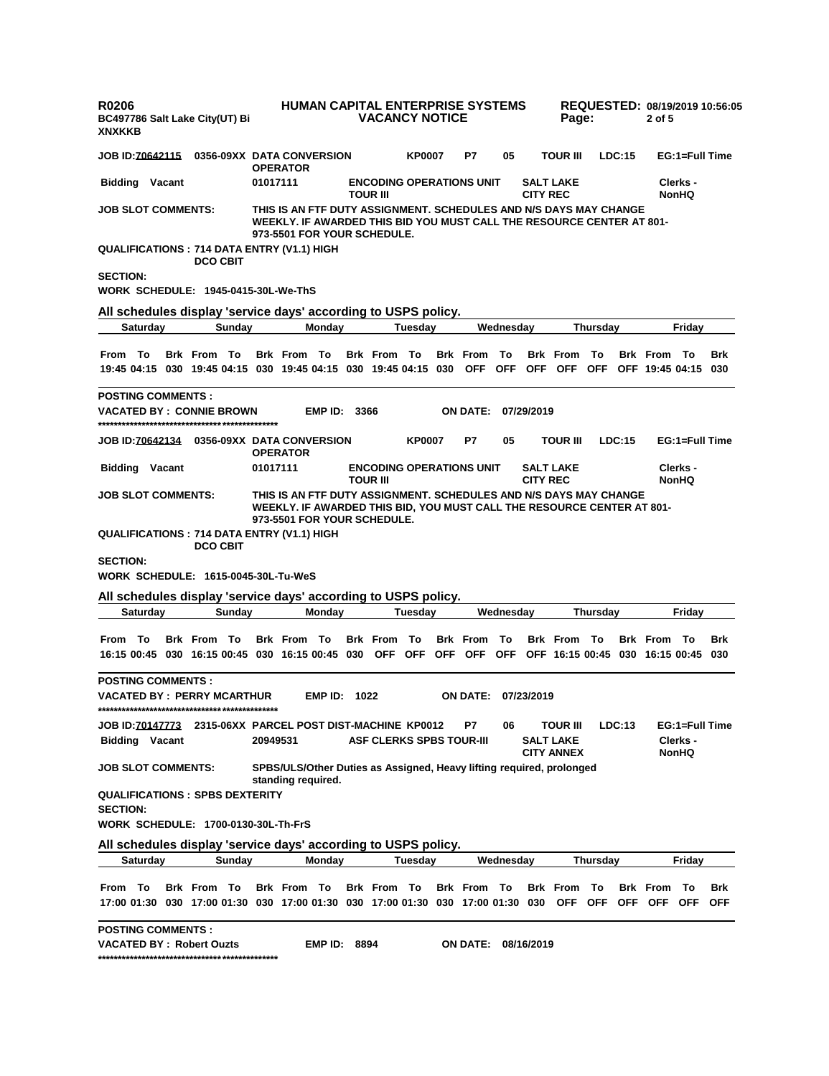| R0206<br><b>XNXKKB</b>                           | BC497786 Salt Lake City(UT) Bi                                                |          | <b>HUMAN CAPITAL ENTERPRISE SYSTEMS</b>                                                                                                                                    | <b>VACANCY NOTICE</b>                              |               |                     |           |                 | Page:                         |                  |        | 2 of 5                                        |                            | REQUESTED: 08/19/2019 10:56:05 |
|--------------------------------------------------|-------------------------------------------------------------------------------|----------|----------------------------------------------------------------------------------------------------------------------------------------------------------------------------|----------------------------------------------------|---------------|---------------------|-----------|-----------------|-------------------------------|------------------|--------|-----------------------------------------------|----------------------------|--------------------------------|
|                                                  |                                                                               |          | JOB ID:70642115  0356-09XX DATA CONVERSION<br><b>OPERATOR</b>                                                                                                              |                                                    | <b>KP0007</b> | P7                  | 05        |                 | TOUR III                      |                  | LDC:15 |                                               | EG:1=Full Time             |                                |
| <b>Bidding Vacant</b>                            |                                                                               | 01017111 |                                                                                                                                                                            | <b>ENCODING OPERATIONS UNIT</b><br><b>TOUR III</b> |               |                     |           | <b>CITY REC</b> | <b>SALT LAKE</b>              |                  |        |                                               | Clerks -<br><b>NonHQ</b>   |                                |
| <b>JOB SLOT COMMENTS:</b>                        |                                                                               |          | THIS IS AN FTF DUTY ASSIGNMENT. SCHEDULES AND N/S DAYS MAY CHANGE<br>WEEKLY. IF AWARDED THIS BID YOU MUST CALL THE RESOURCE CENTER AT 801-<br>973-5501 FOR YOUR SCHEDULE.  |                                                    |               |                     |           |                 |                               |                  |        |                                               |                            |                                |
|                                                  | <b>DCO CBIT</b>                                                               |          | <b>QUALIFICATIONS:714 DATA ENTRY (V1.1) HIGH</b>                                                                                                                           |                                                    |               |                     |           |                 |                               |                  |        |                                               |                            |                                |
| <b>SECTION:</b>                                  | WORK SCHEDULE: 1945-0415-30L-We-ThS                                           |          |                                                                                                                                                                            |                                                    |               |                     |           |                 |                               |                  |        |                                               |                            |                                |
|                                                  |                                                                               |          | All schedules display 'service days' according to USPS policy.                                                                                                             |                                                    |               |                     |           |                 |                               |                  |        |                                               |                            |                                |
| Saturday                                         | Sunday                                                                        |          | Monday                                                                                                                                                                     |                                                    | Tuesday       |                     | Wednesday |                 |                               | Thursday         |        |                                               | Friday                     |                                |
| From To                                          | <b>Brk From To</b>                                                            |          | <b>Brk From To</b><br>19:45 04:15 030 19:45 04:15 030 19:45 04:15 030 19:45 04:15 030 OFF OFF OFF OFF                                                                      | <b>Brk From To</b>                                 |               | <b>Brk</b> From     | To        |                 | <b>Brk</b> From               | <b>To</b>        |        | <b>Brk From To</b><br>OFF OFF 19:45 04:15 030 |                            | Brk                            |
| <b>POSTING COMMENTS:</b>                         |                                                                               |          |                                                                                                                                                                            |                                                    |               |                     |           |                 |                               |                  |        |                                               |                            |                                |
|                                                  | <b>VACATED BY : CONNIE BROWN</b>                                              |          | <b>EMP ID: 3366</b>                                                                                                                                                        |                                                    |               | <b>ON DATE:</b>     |           | 07/29/2019      |                               |                  |        |                                               |                            |                                |
|                                                  |                                                                               |          | <b>OPERATOR</b>                                                                                                                                                            |                                                    | <b>KP0007</b> | P7                  | 05        |                 | TOUR III                      |                  | LDC:15 |                                               | EG:1=Full Time             |                                |
| <b>Bidding Vacant</b>                            |                                                                               | 01017111 |                                                                                                                                                                            | <b>ENCODING OPERATIONS UNIT</b><br><b>TOUR III</b> |               |                     |           | <b>CITY REC</b> | <b>SALT LAKE</b>              |                  |        |                                               | Clerks -<br><b>NonHQ</b>   |                                |
| <b>JOB SLOT COMMENTS:</b>                        |                                                                               |          | THIS IS AN FTF DUTY ASSIGNMENT. SCHEDULES AND N/S DAYS MAY CHANGE<br>WEEKLY. IF AWARDED THIS BID, YOU MUST CALL THE RESOURCE CENTER AT 801-<br>973-5501 FOR YOUR SCHEDULE. |                                                    |               |                     |           |                 |                               |                  |        |                                               |                            |                                |
|                                                  | <b>DCO CBIT</b>                                                               |          | <b>QUALIFICATIONS:714 DATA ENTRY (V1.1) HIGH</b>                                                                                                                           |                                                    |               |                     |           |                 |                               |                  |        |                                               |                            |                                |
| <b>SECTION:</b>                                  | WORK SCHEDULE: 1615-0045-30L-Tu-WeS                                           |          |                                                                                                                                                                            |                                                    |               |                     |           |                 |                               |                  |        |                                               |                            |                                |
|                                                  |                                                                               |          | All schedules display 'service days' according to USPS policy.                                                                                                             |                                                    |               |                     |           |                 |                               |                  |        |                                               |                            |                                |
| Saturday                                         | Sunday                                                                        |          | Monday                                                                                                                                                                     |                                                    | Tuesday       |                     | Wednesday |                 |                               | <b>Thursday</b>  |        |                                               | Friday                     |                                |
| From To                                          | <b>Brk From To</b>                                                            |          | <b>Brk From To</b><br>16:15 00:45 030 16:15 00:45 030 16:15 00:45 030 OFF OFF OFF OFF OFF OFF 16:15 00:45 030 16:15 00:45 030                                              | <b>Brk From To</b>                                 |               | <b>Brk</b> From     | То        |                 | <b>Brk From To</b>            |                  |        | <b>Brk From To</b>                            |                            | Brk                            |
| <b>POSTING COMMENTS :</b>                        | VACATED BY:PERRY MCARTHUR                                                     |          | <b>EMP ID: 1022</b>                                                                                                                                                        |                                                    |               | ON DATE: 07/23/2019 |           |                 |                               |                  |        |                                               |                            |                                |
| JOB ID: <u>70147773</u><br><b>Bidding Vacant</b> |                                                                               | 20949531 | 2315-06XX PARCEL POST DIST-MACHINE KP0012                                                                                                                                  | <b>ASF CLERKS SPBS TOUR-III</b>                    |               | P7                  | 06        |                 | TOUR III<br><b>SALT LAKE</b>  |                  | LDC:13 |                                               | EG:1=Full Time<br>Clerks - |                                |
| <b>JOB SLOT COMMENTS:</b>                        |                                                                               |          | SPBS/ULS/Other Duties as Assigned, Heavy lifting reguired, prolonged<br>standing required.                                                                                 |                                                    |               |                     |           |                 | <b>CITY ANNEX</b>             |                  |        |                                               | <b>NonHQ</b>               |                                |
| <b>SECTION:</b>                                  | <b>QUALIFICATIONS : SPBS DEXTERITY</b><br>WORK SCHEDULE: 1700-0130-30L-Th-FrS |          |                                                                                                                                                                            |                                                    |               |                     |           |                 |                               |                  |        |                                               |                            |                                |
|                                                  |                                                                               |          | All schedules display 'service days' according to USPS policy.                                                                                                             |                                                    |               |                     |           |                 |                               |                  |        |                                               |                            |                                |
| <b>Saturday</b>                                  | Sunday                                                                        |          | Monday                                                                                                                                                                     |                                                    | Tuesday       |                     | Wednesday |                 |                               | Thursday         |        |                                               | Friday                     |                                |
| From To                                          | <b>Brk From To</b>                                                            |          | <b>Brk From To</b><br>17:00 01:30  030  17:00  01:30  030  17:00  01:30  030  17:00  01:30  030  17:00  01:30  030                                                         | <b>Brk From To</b>                                 |               | <b>Brk</b> From     | То        |                 | <b>Brk</b> From<br><b>OFF</b> | To<br><b>OFF</b> |        | <b>Brk</b> From<br>OFF OFF                    | То<br><b>OFF</b>           | Brk<br><b>OFF</b>              |
| <b>POSTING COMMENTS:</b>                         | <b>VACATED BY: Robert Ouzts</b>                                               |          | <b>EMP ID: 8894</b>                                                                                                                                                        |                                                    |               | <b>ON DATE:</b>     |           | 08/16/2019      |                               |                  |        |                                               |                            |                                |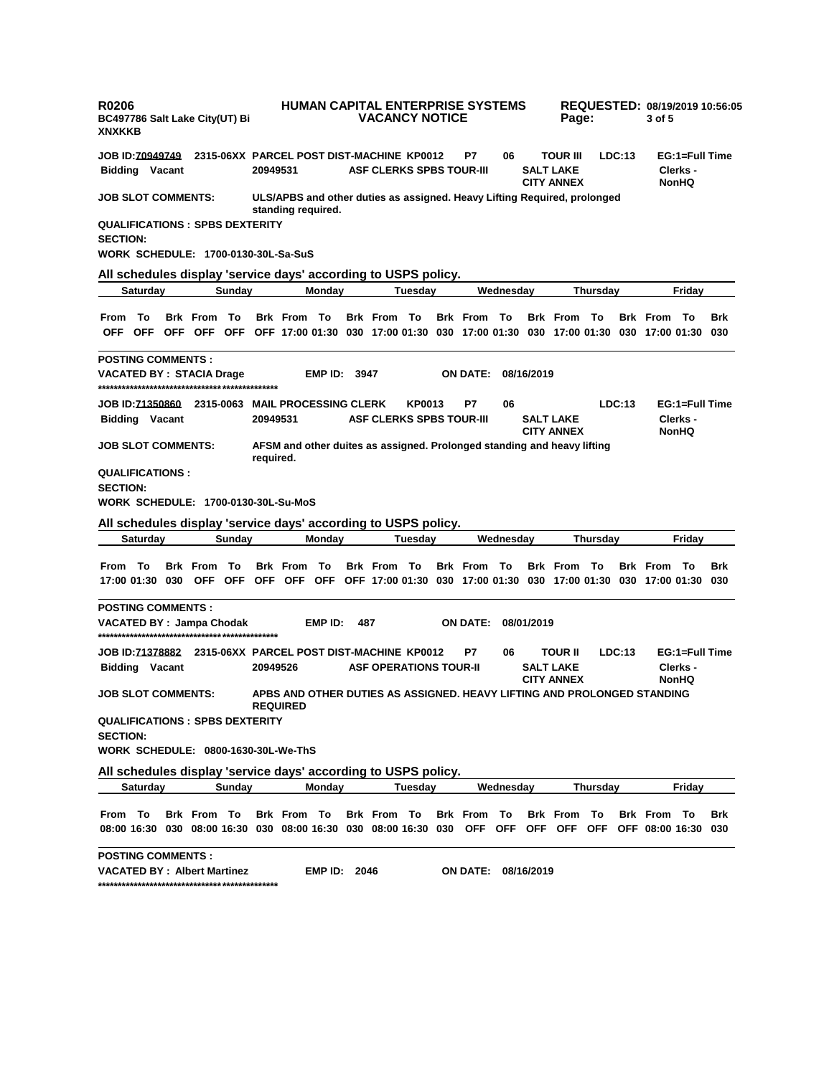| <b>R0206</b><br><b>XNXKKB</b> |                 |                           | BC497786 Salt Lake City(UT) Bi                                                                                      |               |           |                                           |                     |     | <b>VACANCY NOTICE</b>           |         | <b>HUMAN CAPITAL ENTERPRISE SYSTEMS</b> |            |            | Page:                                                                    |          |        | 3 of 5                                                                                                |                                            | REQUESTED: 08/19/2019 10:56:05 |
|-------------------------------|-----------------|---------------------------|---------------------------------------------------------------------------------------------------------------------|---------------|-----------|-------------------------------------------|---------------------|-----|---------------------------------|---------|-----------------------------------------|------------|------------|--------------------------------------------------------------------------|----------|--------|-------------------------------------------------------------------------------------------------------|--------------------------------------------|--------------------------------|
| <b>JOB ID:70949749</b>        |                 |                           |                                                                                                                     |               |           | 2315-06XX PARCEL POST DIST-MACHINE KP0012 |                     |     |                                 |         | P7                                      | 06         |            | TOUR III                                                                 |          | LDC:13 |                                                                                                       | EG:1=Full Time                             |                                |
|                               |                 | <b>Bidding Vacant</b>     |                                                                                                                     |               | 20949531  |                                           |                     |     | <b>ASF CLERKS SPBS TOUR-III</b> |         |                                         |            |            | <b>SALT LAKE</b><br><b>CITY ANNEX</b>                                    |          |        |                                                                                                       | Clerks -<br><b>NonHQ</b>                   |                                |
|                               |                 | <b>JOB SLOT COMMENTS:</b> |                                                                                                                     |               |           | standing required.                        |                     |     |                                 |         |                                         |            |            | ULS/APBS and other duties as assigned. Heavy Lifting Required, prolonged |          |        |                                                                                                       |                                            |                                |
| <b>SECTION:</b>               |                 |                           | <b>QUALIFICATIONS: SPBS DEXTERITY</b><br><b>WORK SCHEDULE: 1700-0130-30L-Sa-SuS</b>                                 |               |           |                                           |                     |     |                                 |         |                                         |            |            |                                                                          |          |        |                                                                                                       |                                            |                                |
|                               |                 |                           |                                                                                                                     |               |           |                                           |                     |     |                                 |         |                                         |            |            |                                                                          |          |        |                                                                                                       |                                            |                                |
|                               | Saturday        |                           | All schedules display 'service days' according to USPS policy.                                                      | Sunday        |           |                                           | Monday              |     |                                 | Tuesday |                                         | Wednesdav  |            |                                                                          | Thursday |        |                                                                                                       | Friday                                     |                                |
|                               |                 |                           |                                                                                                                     |               |           |                                           |                     |     |                                 |         |                                         |            |            |                                                                          |          |        |                                                                                                       |                                            |                                |
| From                          | Тο              |                           | Brk From<br>OFF OFF OFF OFF OFF OFF 17:00 01:30 030 17:00 01:30 030 17:00 01:30 030 17:00 01:30 030 17:00 01:30 030 | То            |           | <b>Brk From To</b>                        |                     |     | <b>Brk From To</b>              |         | <b>Brk</b> From                         | - То       |            | <b>Brk</b> From                                                          | То       |        | <b>Brk From To</b>                                                                                    |                                            | <b>Brk</b>                     |
|                               |                 | <b>POSTING COMMENTS:</b>  | VACATED BY: STACIA Drage                                                                                            |               |           |                                           | <b>EMP ID: 3947</b> |     |                                 |         | <b>ON DATE:</b>                         |            | 08/16/2019 |                                                                          |          |        |                                                                                                       |                                            |                                |
|                               |                 | <b>Bidding Vacant</b>     |                                                                                                                     |               | 20949531  |                                           |                     |     | <b>ASF CLERKS SPBS TOUR-III</b> | KP0013  | P7                                      | 06         |            | <b>SALT LAKE</b><br><b>CITY ANNEX</b>                                    |          | LDC:13 |                                                                                                       | EG:1=Full Time<br>Clerks -<br><b>NonHQ</b> |                                |
|                               |                 | <b>JOB SLOT COMMENTS:</b> |                                                                                                                     |               | required. |                                           |                     |     |                                 |         |                                         |            |            | AFSM and other duites as assigned. Prolonged standing and heavy lifting  |          |        |                                                                                                       |                                            |                                |
| <b>SECTION:</b>               |                 | <b>QUALIFICATIONS:</b>    |                                                                                                                     |               |           |                                           |                     |     |                                 |         |                                         |            |            |                                                                          |          |        |                                                                                                       |                                            |                                |
|                               |                 |                           | <b>WORK SCHEDULE: 1700-0130-30L-Su-MoS</b>                                                                          |               |           |                                           |                     |     |                                 |         |                                         |            |            |                                                                          |          |        |                                                                                                       |                                            |                                |
|                               | Saturday        |                           | All schedules display 'service days' according to USPS policy.                                                      | Sunday        |           |                                           | Monday              |     |                                 | Tuesday |                                         | Wednesday  |            |                                                                          | Thursday |        |                                                                                                       | Friday                                     |                                |
|                               |                 |                           |                                                                                                                     |               |           |                                           |                     |     |                                 |         |                                         |            |            |                                                                          |          |        |                                                                                                       |                                            |                                |
| From To                       |                 | 17:00 01:30 030           | Brk From                                                                                                            | To<br>OFF OFF |           | <b>Brk From To</b>                        |                     |     | <b>Brk From To</b>              |         | <b>Brk From To</b>                      |            |            | <b>Brk From To</b>                                                       |          |        | <b>Brk From To</b><br>OFF OFF OFF OFF 17:00 01:30 030 17:00 01:30 030 17:00 01:30 030 17:00 01:30 030 |                                            | <b>Brk</b>                     |
|                               |                 | <b>POSTING COMMENTS:</b>  | VACATED BY: Jampa Chodak                                                                                            |               |           |                                           | EMP ID:             | 487 |                                 |         | <b>ON DATE:</b>                         |            | 08/01/2019 |                                                                          |          |        |                                                                                                       |                                            |                                |
| <b>JOB ID:71378882</b>        |                 | <b>Bidding Vacant</b>     |                                                                                                                     |               | 20949526  | 2315-06XX PARCEL POST DIST-MACHINE KP0012 |                     |     | <b>ASF OPERATIONS TOUR-II</b>   |         | P7                                      | 06         |            | <b>TOUR II</b><br><b>SALT LAKE</b><br><b>CITY ANNEX</b>                  |          | LDC:13 |                                                                                                       | EG:1=Full Time<br>Clerks -<br><b>NonHQ</b> |                                |
|                               |                 | <b>JOB SLOT COMMENTS:</b> |                                                                                                                     |               |           | <b>REQUIRED</b>                           |                     |     |                                 |         |                                         |            |            |                                                                          |          |        | APBS AND OTHER DUTIES AS ASSIGNED. HEAVY LIFTING AND PROLONGED STANDING                               |                                            |                                |
| <b>SECTION:</b>               |                 |                           | <b>QUALIFICATIONS: SPBS DEXTERITY</b><br>WORK SCHEDULE: 0800-1630-30L-We-ThS                                        |               |           |                                           |                     |     |                                 |         |                                         |            |            |                                                                          |          |        |                                                                                                       |                                            |                                |
|                               |                 |                           | All schedules display 'service days' according to USPS policy.                                                      |               |           |                                           |                     |     |                                 |         |                                         |            |            |                                                                          |          |        |                                                                                                       |                                            |                                |
|                               | <b>Saturday</b> |                           |                                                                                                                     | Sunday        |           |                                           | Monday              |     |                                 | Tuesday |                                         | Wednesday  |            |                                                                          | Thursday |        |                                                                                                       | Friday                                     |                                |
| From To                       |                 |                           | <b>Brk From To</b>                                                                                                  |               |           | <b>Brk From To</b>                        |                     |     | Brk From To                     |         | Brk From To                             |            |            | <b>Brk</b> From                                                          | To       |        | <b>Brk From To</b>                                                                                    |                                            | <b>Brk</b>                     |
|                               |                 |                           | 08:00 16:30 030 08:00 16:30 030 08:00 16:30 030 08:00 16:30 030 OFF                                                 |               |           |                                           |                     |     |                                 |         |                                         | <b>OFF</b> |            | OFF OFF                                                                  | OFF      |        | OFF 08:00 16:30 030                                                                                   |                                            |                                |
|                               |                 | <b>POSTING COMMENTS:</b>  | <b>VACATED BY: Albert Martinez</b>                                                                                  |               |           |                                           | <b>EMP ID: 2046</b> |     |                                 |         | ON DATE:                                |            | 08/16/2019 |                                                                          |          |        |                                                                                                       |                                            |                                |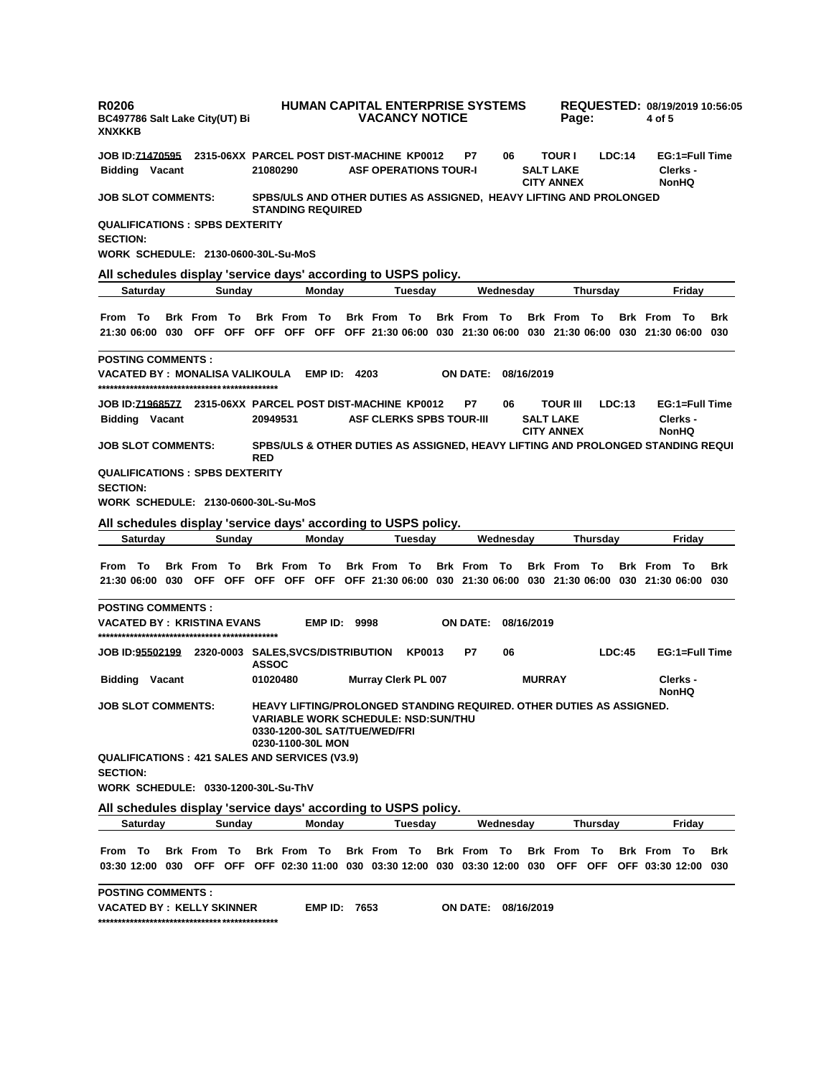| <b>XNXKKB</b>             | <b>R0206</b>              | BC497786 Salt Lake City(UT) Bi                                                      |        |              |                          |                     | <b>VACANCY NOTICE</b>                                                       |               | HUMAN CAPITAL ENTERPRISE SYSTEMS                                                                                              |           |               | Page:                                                  |                  |        | 4 of 5                                    |                                            | REQUESTED: 08/19/2019 10:56:05 |
|---------------------------|---------------------------|-------------------------------------------------------------------------------------|--------|--------------|--------------------------|---------------------|-----------------------------------------------------------------------------|---------------|-------------------------------------------------------------------------------------------------------------------------------|-----------|---------------|--------------------------------------------------------|------------------|--------|-------------------------------------------|--------------------------------------------|--------------------------------|
| <b>JOB ID:71470595</b>    | <b>Bidding Vacant</b>     |                                                                                     |        | 21080290     |                          |                     | 2315-06XX PARCEL POST DIST-MACHINE KP0012<br><b>ASF OPERATIONS TOUR-I</b>   |               | P7                                                                                                                            | 06        |               | <b>TOUR I</b><br><b>SALT LAKE</b><br><b>CITY ANNEX</b> |                  | LDC:14 |                                           | EG:1=Full Time<br>Clerks -<br><b>NonHQ</b> |                                |
| <b>JOB SLOT COMMENTS:</b> |                           |                                                                                     |        |              | <b>STANDING REQUIRED</b> |                     |                                                                             |               | SPBS/ULS AND OTHER DUTIES AS ASSIGNED, HEAVY LIFTING AND PROLONGED                                                            |           |               |                                                        |                  |        |                                           |                                            |                                |
| <b>SECTION:</b>           |                           | <b>QUALIFICATIONS: SPBS DEXTERITY</b><br><b>WORK SCHEDULE: 2130-0600-30L-Su-MoS</b> |        |              |                          |                     |                                                                             |               |                                                                                                                               |           |               |                                                        |                  |        |                                           |                                            |                                |
|                           |                           | All schedules display 'service days' according to USPS policy.                      |        |              |                          |                     |                                                                             |               |                                                                                                                               |           |               |                                                        |                  |        |                                           |                                            |                                |
|                           | Saturday                  |                                                                                     | Sunday |              |                          | Monday              |                                                                             | Tuesdav       |                                                                                                                               | Wednesdav |               |                                                        | Thursday         |        |                                           | Friday                                     |                                |
| From To                   |                           | <b>Brk</b> From                                                                     | То     |              | <b>Brk From To</b>       |                     | <b>Brk From To</b>                                                          |               | <b>Brk</b> From<br>21:30 06:00 030 OFF OFF OFF OFF OFF OFF 21:30 06:00 030 21:30 06:00 030 21:30 06:00 030 21:30 06:00 030    | То        |               | <b>Brk</b> From                                        | - To             |        | <b>Brk From To</b>                        |                                            | <b>Brk</b>                     |
| <b>POSTING COMMENTS:</b>  |                           | VACATED BY : MONALISA VALIKOULA                                                     |        |              |                          | <b>EMP ID: 4203</b> |                                                                             |               | <b>ON DATE:</b>                                                                                                               |           | 08/16/2019    |                                                        |                  |        |                                           |                                            |                                |
|                           | <b>Bidding Vacant</b>     |                                                                                     |        | 20949531     |                          |                     | <b>ASF CLERKS SPBS TOUR-III</b>                                             |               | P7                                                                                                                            | 06        |               | TOUR III<br><b>SALT LAKE</b><br><b>CITY ANNEX</b>      |                  | LDC:13 |                                           | EG:1=Full Time<br>Clerks -<br><b>NonHQ</b> |                                |
| <b>JOB SLOT COMMENTS:</b> |                           |                                                                                     |        | <b>RED</b>   |                          |                     |                                                                             |               | SPBS/ULS & OTHER DUTIES AS ASSIGNED, HEAVY LIFTING AND PROLONGED STANDING REQUI                                               |           |               |                                                        |                  |        |                                           |                                            |                                |
| <b>SECTION:</b>           |                           | <b>QUALIFICATIONS: SPBS DEXTERITY</b><br><b>WORK SCHEDULE: 2130-0600-30L-Su-MoS</b> |        |              |                          |                     |                                                                             |               |                                                                                                                               |           |               |                                                        |                  |        |                                           |                                            |                                |
|                           |                           |                                                                                     |        |              |                          |                     | All schedules display 'service days' according to USPS policy.              |               |                                                                                                                               |           |               |                                                        |                  |        |                                           |                                            |                                |
|                           |                           |                                                                                     |        |              |                          |                     |                                                                             |               |                                                                                                                               |           |               |                                                        |                  |        |                                           |                                            |                                |
|                           | Saturday                  |                                                                                     | Sunday |              |                          | Monday              |                                                                             | Tuesday       |                                                                                                                               | Wednesday |               |                                                        | Thursday         |        |                                           | Friday                                     |                                |
| From To                   |                           | Brk From To                                                                         |        |              | <b>Brk From To</b>       |                     | <b>Brk From To</b>                                                          |               | <b>Brk From To</b><br>21:30 06:00 030 OFF OFF OFF OFF OFF OFF 21:30 06:00 030 21:30 06:00 030 21:30 06:00 030 21:30 06:00 030 |           |               | <b>Brk From To</b>                                     |                  |        | <b>Brk From To</b>                        |                                            | <b>Brk</b>                     |
| <b>POSTING COMMENTS:</b>  |                           | <b>VACATED BY: KRISTINA EVANS</b>                                                   |        |              |                          | <b>EMP ID: 9998</b> |                                                                             |               | <b>ON DATE:</b>                                                                                                               |           | 08/16/2019    |                                                        |                  |        |                                           |                                            |                                |
|                           |                           | JOB ID: <u>95502199</u> 2320-0003 SALES,SVCS/DISTRIBUTION                           |        | <b>ASSOC</b> |                          |                     |                                                                             | <b>KP0013</b> | P7                                                                                                                            | 06        |               |                                                        |                  | LDC:45 |                                           | EG:1=Full Time                             |                                |
|                           | <b>Bidding Vacant</b>     |                                                                                     |        | 01020480     |                          |                     | <b>Murray Clerk PL 007</b>                                                  |               |                                                                                                                               |           | <b>MURRAY</b> |                                                        |                  |        |                                           | Clerks -                                   |                                |
|                           | <b>JOB SLOT COMMENTS:</b> |                                                                                     |        |              | 0230-1100-30L MON        |                     | <b>VARIABLE WORK SCHEDULE: NSD:SUN/THU</b><br>0330-1200-30L SAT/TUE/WED/FRI |               | HEAVY LIFTING/PROLONGED STANDING REQUIRED, OTHER DUTIES AS ASSIGNED.                                                          |           |               |                                                        |                  |        |                                           | <b>NonHQ</b>                               |                                |
| <b>SECTION:</b>           |                           | QUALIFICATIONS: 421 SALES AND SERVICES (V3.9)                                       |        |              |                          |                     |                                                                             |               |                                                                                                                               |           |               |                                                        |                  |        |                                           |                                            |                                |
|                           |                           | WORK SCHEDULE: 0330-1200-30L-Su-ThV                                                 |        |              |                          |                     |                                                                             |               |                                                                                                                               |           |               |                                                        |                  |        |                                           |                                            |                                |
|                           | <b>Saturday</b>           | All schedules display 'service days' according to USPS policy.                      | Sunday |              |                          | Monday              |                                                                             | Tuesday       |                                                                                                                               | Wednesday |               |                                                        | <b>Thursday</b>  |        |                                           | Fridav                                     |                                |
| From To                   |                           | <b>Brk From To</b>                                                                  |        |              | Brk From To              |                     | Brk From To                                                                 |               | Brk From To<br>03:30 12:00 030 OFF OFF OFF 02:30 11:00 030 03:30 12:00 030 03:30 12:00 030                                    |           |               | <b>Brk</b> From<br><b>OFF</b>                          | То<br><b>OFF</b> |        | <b>Brk From To</b><br>OFF 03:30 12:00 030 |                                            | <b>Brk</b>                     |